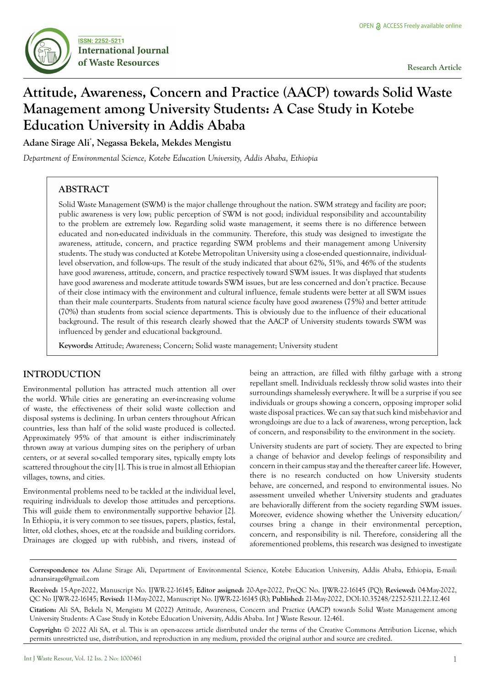

# **Attitude, Awareness, Concern and Practice (AACP) towards Solid Waste Management among University Students: A Case Study in Kotebe Education University in Addis Ababa**

**Adane Sirage Ali\* , Negassa Bekela, Mekdes Mengistu**

*Department of Environmental Science, Kotebe Education University, Addis Ababa, Ethiopia*

# **ABSTRACT**

Solid Waste Management (SWM) is the major challenge throughout the nation. SWM strategy and facility are poor; public awareness is very low; public perception of SWM is not good; individual responsibility and accountability to the problem are extremely low. Regarding solid waste management, it seems there is no difference between educated and non-educated individuals in the community. Therefore, this study was designed to investigate the awareness, attitude, concern, and practice regarding SWM problems and their management among University students. The study was conducted at Kotebe Metropolitan University using a close-ended questionnaire, individuallevel observation, and follow-ups. The result of the study indicated that about 62%, 51%, and 46% of the students have good awareness, attitude, concern, and practice respectively toward SWM issues. It was displayed that students have good awareness and moderate attitude towards SWM issues, but are less concerned and don't practice. Because of their close intimacy with the environment and cultural influence, female students were better at all SWM issues than their male counterparts. Students from natural science faculty have good awareness (75%) and better attitude (70%) than students from social science departments. This is obviously due to the influence of their educational background. The result of this research clearly showed that the AACP of University students towards SWM was influenced by gender and educational background.

**Keywords:** Attitude; Awareness; Concern; Solid waste management; University student

## **INTRODUCTION**

Environmental pollution has attracted much attention all over the world. While cities are generating an ever-increasing volume of waste, the effectiveness of their solid waste collection and disposal systems is declining. In urban centers throughout African countries, less than half of the solid waste produced is collected. Approximately 95% of that amount is either indiscriminately thrown away at various dumping sites on the periphery of urban centers, or at several so-called temporary sites, typically empty lots scattered throughout the city [1]. This is true in almost all Ethiopian villages, towns, and cities.

Environmental problems need to be tackled at the individual level, requiring individuals to develop those attitudes and perceptions. This will guide them to environmentally supportive behavior [2]. In Ethiopia, it is very common to see tissues, papers, plastics, festal, litter, old clothes, shoes, etc at the roadside and building corridors. Drainages are clogged up with rubbish, and rivers, instead of being an attraction, are filled with filthy garbage with a strong repellant smell. Individuals recklessly throw solid wastes into their surroundings shamelessly everywhere. It will be a surprise if you see individuals or groups showing a concern, opposing improper solid waste disposal practices. We can say that such kind misbehavior and wrongdoings are due to a lack of awareness, wrong perception, lack of concern, and responsibility to the environment in the society.

University students are part of society. They are expected to bring a change of behavior and develop feelings of responsibility and concern in their campus stay and the thereafter career life. However, there is no research conducted on how University students behave, are concerned, and respond to environmental issues. No assessment unveiled whether University students and graduates are behaviorally different from the society regarding SWM issues. Moreover, evidence showing whether the University education/ courses bring a change in their environmental perception, concern, and responsibility is nil. Therefore, considering all the aforementioned problems, this research was designed to investigate

**Correspondence to:** Adane Sirage Ali, Department of Environmental Science, Kotebe Education University, Addis Ababa, Ethiopia, E-mail: adnansirage@gmail.com

**Received:** 15-Apr-2022, Manuscript No. IJWR-22-16145; **Editor assigned:** 20-Apr-2022, PreQC No. IJWR-22-16145 (PQ); **Reviewed:** 04-May-2022, QC No IJWR-22-16145; **Revised:** 11-May-2022, Manuscript No. IJWR-22-16145 (R); **Published:** 21-May-2022, DOI:10.35248/2252-5211.22.12.461

**Citation:** Ali SA, Bekela N, Mengistu M (2022) Attitude, Awareness, Concern and Practice (AACP) towards Solid Waste Management among University Students: A Case Study in Kotebe Education University, Addis Ababa. Int J Waste Resour. 12:461.

**Copyright:** © 2022 Ali SA, et al. This is an open-access article distributed under the terms of the Creative Commons Attribution License, which permits unrestricted use, distribution, and reproduction in any medium, provided the original author and source are credited.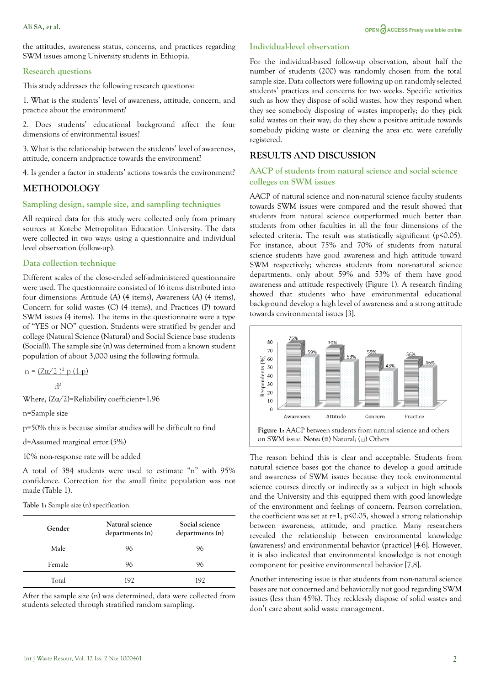the attitudes, awareness status, concerns, and practices regarding SWM issues among University students in Ethiopia.

#### **Research questions**

This study addresses the following research questions:

1. What is the students' level of awareness, attitude, concern, and practice about the environment?

2. Does students' educational background affect the four dimensions of environmental issues?

3. What is the relationship between the students' level of awareness, attitude, concern andpractice towards the environment?

4. Is gender a factor in students' actions towards the environment?

## **METHODOLOGY**

### **Sampling design, sample size, and sampling techniques**

All required data for this study were collected only from primary sources at Kotebe Metropolitan Education University. The data were collected in two ways: using a questionnaire and individual level observation (follow-up).

### **Data collection technique**

Different scales of the close-ended self-administered questionnaire were used. The questionnaire consisted of 16 items distributed into four dimensions: Attitude (A) (4 items), Awareness (A) (4 items), Concern for solid wastes (C) (4 items), and Practices (P) toward SWM issues (4 items). The items in the questionnaire were a type of "YES or NO" question. Students were stratified by gender and college (Natural Science (Natural) and Social Science base students (Social)). The sample size (n) was determined from a known student population of about 3,000 using the following formula.

 $n = (Z\alpha/2)^2 p (1-p)$ 

 $d<sup>2</sup>$ 

Where,  $(Z\alpha/2)$ =Reliability coefficient=1.96

n=Sample size

p=50% this is because similar studies will be difficult to find

d=Assumed marginal error (5%)

10% non-response rate will be added

A total of 384 students were used to estimate "n" with 95% confidence. Correction for the small finite population was not made (Table 1).

**Table 1:** Sample size (n) specification.

| Gender | Natural science<br>departments (n) | Social science<br>departments (n) |  |
|--------|------------------------------------|-----------------------------------|--|
| Male   | 96                                 | 96                                |  |
| Female | 96                                 | 96                                |  |
| Total  | 192                                | 192                               |  |

After the sample size (n) was determined, data were collected from students selected through stratified random sampling.<br>don't care about solid waste management.

#### **Individual-level observation**

For the individual-based follow-up observation, about half the number of students (200) was randomly chosen from the total sample size. Data collectors were following up on randomly selected students' practices and concerns for two weeks. Specific activities such as how they dispose of solid wastes, how they respond when they see somebody disposing of wastes improperly; do they pick solid wastes on their way; do they show a positive attitude towards somebody picking waste or cleaning the area etc. were carefully registered.

# **RESULTS AND DISCUSSION**

## **AACP of students from natural science and social science colleges on SWM issues**

AACP of natural science and non-natural science faculty students towards SWM issues were compared and the result showed that students from natural science outperformed much better than students from other faculties in all the four dimensions of the selected criteria. The result was statistically significant (p<0.05). For instance, about 75% and 70% of students from natural science students have good awareness and high attitude toward SWM respectively; whereas students from non-natural science departments, only about 59% and 53% of them have good awareness and attitude respectively (Figure 1). A research finding showed that students who have environmental educational background develop a high level of awareness and a strong attitude towards environmental issues [3].



The reason behind this is clear and acceptable. Students from natural science bases got the chance to develop a good attitude and awareness of SWM issues because they took environmental science courses directly or indirectly as a subject in high schools and the University and this equipped them with good knowledge of the environment and feelings of concern. Pearson correlation, the coefficient was set at  $r=1$ , p<0.05, showed a strong relationship between awareness, attitude, and practice. Many researchers revealed the relationship between environmental knowledge (awareness) and environmental behavior (practice) [4-6]. However, it is also indicated that environmental knowledge is not enough component for positive environmental behavior [7,8].

Another interesting issue is that students from non-natural science bases are not concerned and behaviorally not good regarding SWM issues (less than 45%). They recklessly dispose of solid wastes and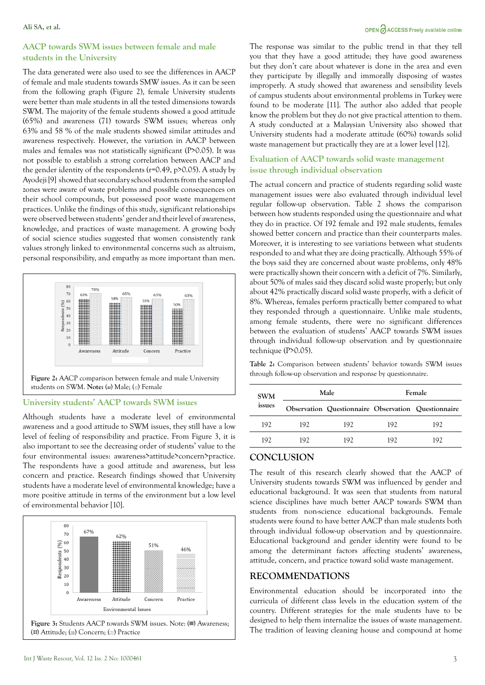## OPEN CACCESS Freely available online

## **AACP towards SWM issues between female and male students in the University**

The data generated were also used to see the differences in AACP of female and male students towards SMW issues. As it can be seen from the following graph (Figure 2), female University students were better than male students in all the tested dimensions towards SWM. The majority of the female students showed a good attitude (65%) and awareness (71) towards SWM issues; whereas only 63% and 58 % of the male students showed similar attitudes and awareness respectively. However, the variation in AACP between males and females was not statistically significant (P>0.05). It was not possible to establish a strong correlation between AACP and the gender identity of the respondents (r=0.49, p>0.05). A study by Ayodeji [9] showed that secondary school students from the sampled zones were aware of waste problems and possible consequences on their school compounds, but possessed poor waste management practices. Unlike the findings of this study, significant relationships were observed between students' gender and their level of awareness, knowledge, and practices of waste management. A growing body of social science studies suggested that women consistently rank values strongly linked to environmental concerns such as altruism, personal responsibility, and empathy as more important than men.



### **University students' AACP towards SWM issues**

Although students have a moderate level of environmental awareness and a good attitude to SWM issues, they still have a low level of feeling of responsibility and practice. From Figure 3, it is also important to see the decreasing order of students' value to the four environmental issues: awareness>attitude>concern>practice. The respondents have a good attitude and awareness, but less concern and practice. Research findings showed that University students have a moderate level of environmental knowledge; have a more positive attitude in terms of the environment but a low level of environmental behavior [10].



The response was similar to the public trend in that they tell you that they have a good attitude; they have good awareness but they don't care about whatever is done in the area and even they participate by illegally and immorally disposing of wastes improperly. A study showed that awareness and sensibility levels of campus students about environmental problems in Turkey were found to be moderate [11]. The author also added that people know the problem but they do not give practical attention to them. A study conducted at a Malaysian University also showed that University students had a moderate attitude (60%) towards solid waste management but practically they are at a lower level [12].

# **Evaluation of AACP towards solid waste management issue through individual observation**

The actual concern and practice of students regarding solid waste management issues were also evaluated through individual level regular follow-up observation. Table 2 shows the comparison between how students responded using the questionnaire and what they do in practice. Of 192 female and 192 male students, females showed better concern and practice than their counterparts males. Moreover, it is interesting to see variations between what students responded to and what they are doing practically. Although 55% of the boys said they are concerned about waste problems, only 48% were practically shown their concern with a deficit of 7%. Similarly, about 50% of males said they discard solid waste properly; but only about 42% practically discard solid waste properly, with a deficit of 8%. Whereas, females perform practically better compared to what they responded through a questionnaire. Unlike male students, among female students, there were no significant differences between the evaluation of students' AACP towards SWM issues through individual follow-up observation and by questionnaire technique (P>0.05).

**Table 2:** Comparison between students' behavior towards SWM issues through follow-up observation and response by questionnaire.

| <b>SWM</b><br>issues |      | Male                                                |     | Female |  |
|----------------------|------|-----------------------------------------------------|-----|--------|--|
|                      |      | Observation Questionnaire Observation Questionnaire |     |        |  |
| 192                  | 192. | 192.                                                | 192 | 192    |  |
| 192                  | 192  | 192.                                                | 192 | 192.   |  |
|                      |      |                                                     |     |        |  |

# **CONCLUSION**

The result of this research clearly showed that the AACP of University students towards SWM was influenced by gender and educational background. It was seen that students from natural science disciplines have much better AACP towards SWM than students from non-science educational backgrounds. Female students were found to have better AACP than male students both through individual follow-up observation and by questionnaire. Educational background and gender identity were found to be among the determinant factors affecting students' awareness, attitude, concern, and practice toward solid waste management.

# **RECOMMENDATIONS**

Environmental education should be incorporated into the curricula of different class levels in the education system of the country. Different strategies for the male students have to be designed to help them internalize the issues of waste management. The tradition of leaving cleaning house and compound at home